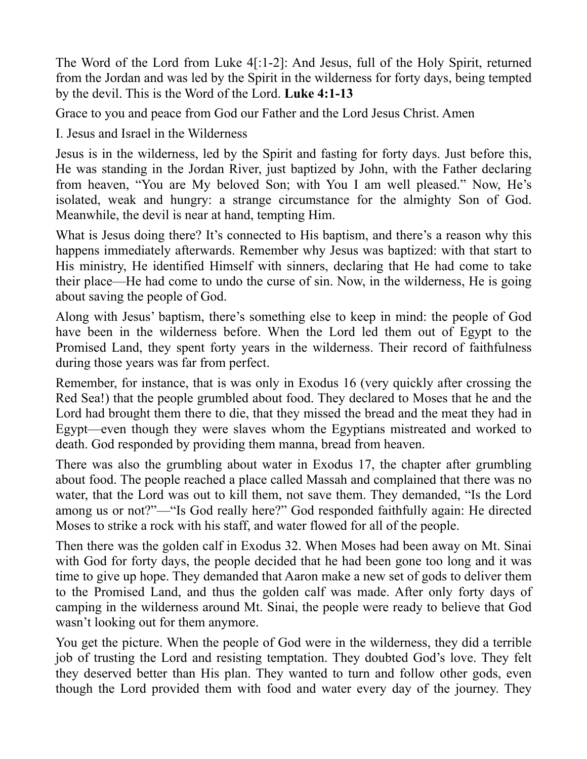The Word of the Lord from Luke 4[:1-2]: And Jesus, full of the Holy Spirit, returned from the Jordan and was led by the Spirit in the wilderness for forty days, being tempted by the devil. This is the Word of the Lord. **Luke 4:1-13** 

Grace to you and peace from God our Father and the Lord Jesus Christ. Amen

I. Jesus and Israel in the Wilderness

Jesus is in the wilderness, led by the Spirit and fasting for forty days. Just before this, He was standing in the Jordan River, just baptized by John, with the Father declaring from heaven, "You are My beloved Son; with You I am well pleased." Now, He's isolated, weak and hungry: a strange circumstance for the almighty Son of God. Meanwhile, the devil is near at hand, tempting Him.

What is Jesus doing there? It's connected to His baptism, and there's a reason why this happens immediately afterwards. Remember why Jesus was baptized: with that start to His ministry, He identified Himself with sinners, declaring that He had come to take their place—He had come to undo the curse of sin. Now, in the wilderness, He is going about saving the people of God.

Along with Jesus' baptism, there's something else to keep in mind: the people of God have been in the wilderness before. When the Lord led them out of Egypt to the Promised Land, they spent forty years in the wilderness. Their record of faithfulness during those years was far from perfect.

Remember, for instance, that is was only in Exodus 16 (very quickly after crossing the Red Sea!) that the people grumbled about food. They declared to Moses that he and the Lord had brought them there to die, that they missed the bread and the meat they had in Egypt—even though they were slaves whom the Egyptians mistreated and worked to death. God responded by providing them manna, bread from heaven.

There was also the grumbling about water in Exodus 17, the chapter after grumbling about food. The people reached a place called Massah and complained that there was no water, that the Lord was out to kill them, not save them. They demanded, "Is the Lord among us or not?"—"Is God really here?" God responded faithfully again: He directed Moses to strike a rock with his staff, and water flowed for all of the people.

Then there was the golden calf in Exodus 32. When Moses had been away on Mt. Sinai with God for forty days, the people decided that he had been gone too long and it was time to give up hope. They demanded that Aaron make a new set of gods to deliver them to the Promised Land, and thus the golden calf was made. After only forty days of camping in the wilderness around Mt. Sinai, the people were ready to believe that God wasn't looking out for them anymore.

You get the picture. When the people of God were in the wilderness, they did a terrible job of trusting the Lord and resisting temptation. They doubted God's love. They felt they deserved better than His plan. They wanted to turn and follow other gods, even though the Lord provided them with food and water every day of the journey. They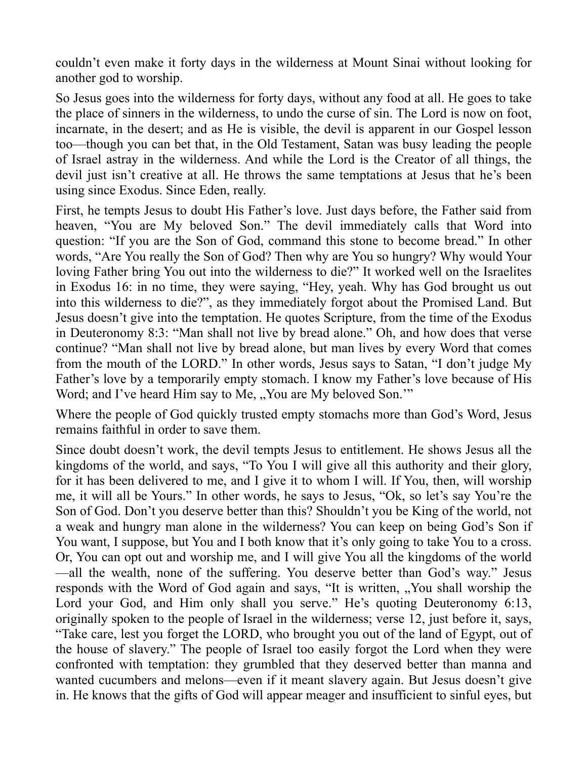couldn't even make it forty days in the wilderness at Mount Sinai without looking for another god to worship.

So Jesus goes into the wilderness for forty days, without any food at all. He goes to take the place of sinners in the wilderness, to undo the curse of sin. The Lord is now on foot, incarnate, in the desert; and as He is visible, the devil is apparent in our Gospel lesson too—though you can bet that, in the Old Testament, Satan was busy leading the people of Israel astray in the wilderness. And while the Lord is the Creator of all things, the devil just isn't creative at all. He throws the same temptations at Jesus that he's been using since Exodus. Since Eden, really.

First, he tempts Jesus to doubt His Father's love. Just days before, the Father said from heaven, "You are My beloved Son." The devil immediately calls that Word into question: "If you are the Son of God, command this stone to become bread." In other words, "Are You really the Son of God? Then why are You so hungry? Why would Your loving Father bring You out into the wilderness to die?" It worked well on the Israelites in Exodus 16: in no time, they were saying, "Hey, yeah. Why has God brought us out into this wilderness to die?", as they immediately forgot about the Promised Land. But Jesus doesn't give into the temptation. He quotes Scripture, from the time of the Exodus in Deuteronomy 8:3: "Man shall not live by bread alone." Oh, and how does that verse continue? "Man shall not live by bread alone, but man lives by every Word that comes from the mouth of the LORD." In other words, Jesus says to Satan, "I don't judge My Father's love by a temporarily empty stomach. I know my Father's love because of His Word; and I've heard Him say to Me, "You are My beloved Son."

Where the people of God quickly trusted empty stomachs more than God's Word, Jesus remains faithful in order to save them.

Since doubt doesn't work, the devil tempts Jesus to entitlement. He shows Jesus all the kingdoms of the world, and says, "To You I will give all this authority and their glory, for it has been delivered to me, and I give it to whom I will. If You, then, will worship me, it will all be Yours." In other words, he says to Jesus, "Ok, so let's say You're the Son of God. Don't you deserve better than this? Shouldn't you be King of the world, not a weak and hungry man alone in the wilderness? You can keep on being God's Son if You want, I suppose, but You and I both know that it's only going to take You to a cross. Or, You can opt out and worship me, and I will give You all the kingdoms of the world —all the wealth, none of the suffering. You deserve better than God's way." Jesus responds with the Word of God again and says, "It is written, "You shall worship the Lord your God, and Him only shall you serve." He's quoting Deuteronomy 6:13, originally spoken to the people of Israel in the wilderness; verse 12, just before it, says, "Take care, lest you forget the LORD, who brought you out of the land of Egypt, out of the house of slavery." The people of Israel too easily forgot the Lord when they were confronted with temptation: they grumbled that they deserved better than manna and wanted cucumbers and melons—even if it meant slavery again. But Jesus doesn't give in. He knows that the gifts of God will appear meager and insufficient to sinful eyes, but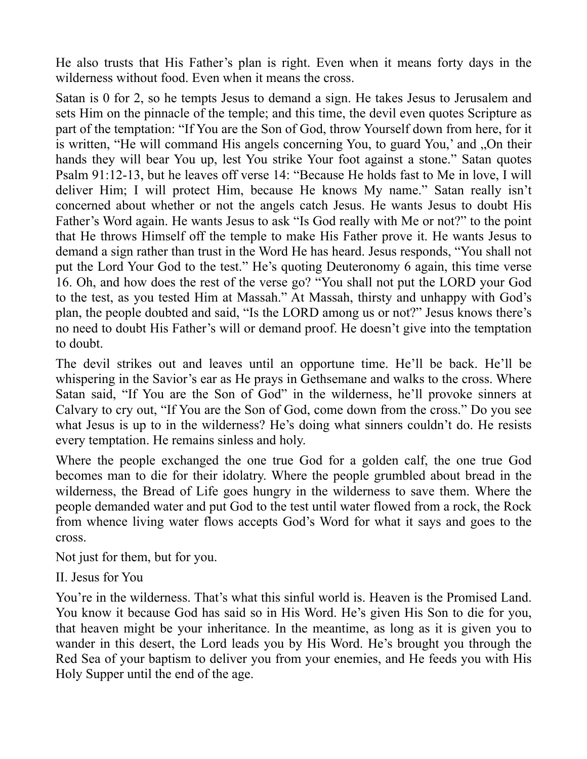He also trusts that His Father's plan is right. Even when it means forty days in the wilderness without food. Even when it means the cross.

Satan is 0 for 2, so he tempts Jesus to demand a sign. He takes Jesus to Jerusalem and sets Him on the pinnacle of the temple; and this time, the devil even quotes Scripture as part of the temptation: "If You are the Son of God, throw Yourself down from here, for it is written, "He will command His angels concerning You, to guard You,' and "On their hands they will bear You up, lest You strike Your foot against a stone." Satan quotes Psalm 91:12-13, but he leaves off verse 14: "Because He holds fast to Me in love, I will deliver Him; I will protect Him, because He knows My name." Satan really isn't concerned about whether or not the angels catch Jesus. He wants Jesus to doubt His Father's Word again. He wants Jesus to ask "Is God really with Me or not?" to the point that He throws Himself off the temple to make His Father prove it. He wants Jesus to demand a sign rather than trust in the Word He has heard. Jesus responds, "You shall not put the Lord Your God to the test." He's quoting Deuteronomy 6 again, this time verse 16. Oh, and how does the rest of the verse go? "You shall not put the LORD your God to the test, as you tested Him at Massah." At Massah, thirsty and unhappy with God's plan, the people doubted and said, "Is the LORD among us or not?" Jesus knows there's no need to doubt His Father's will or demand proof. He doesn't give into the temptation to doubt.

The devil strikes out and leaves until an opportune time. He'll be back. He'll be whispering in the Savior's ear as He prays in Gethsemane and walks to the cross. Where Satan said, "If You are the Son of God" in the wilderness, he'll provoke sinners at Calvary to cry out, "If You are the Son of God, come down from the cross." Do you see what Jesus is up to in the wilderness? He's doing what sinners couldn't do. He resists every temptation. He remains sinless and holy.

Where the people exchanged the one true God for a golden calf, the one true God becomes man to die for their idolatry. Where the people grumbled about bread in the wilderness, the Bread of Life goes hungry in the wilderness to save them. Where the people demanded water and put God to the test until water flowed from a rock, the Rock from whence living water flows accepts God's Word for what it says and goes to the cross.

Not just for them, but for you.

II. Jesus for You

You're in the wilderness. That's what this sinful world is. Heaven is the Promised Land. You know it because God has said so in His Word. He's given His Son to die for you, that heaven might be your inheritance. In the meantime, as long as it is given you to wander in this desert, the Lord leads you by His Word. He's brought you through the Red Sea of your baptism to deliver you from your enemies, and He feeds you with His Holy Supper until the end of the age.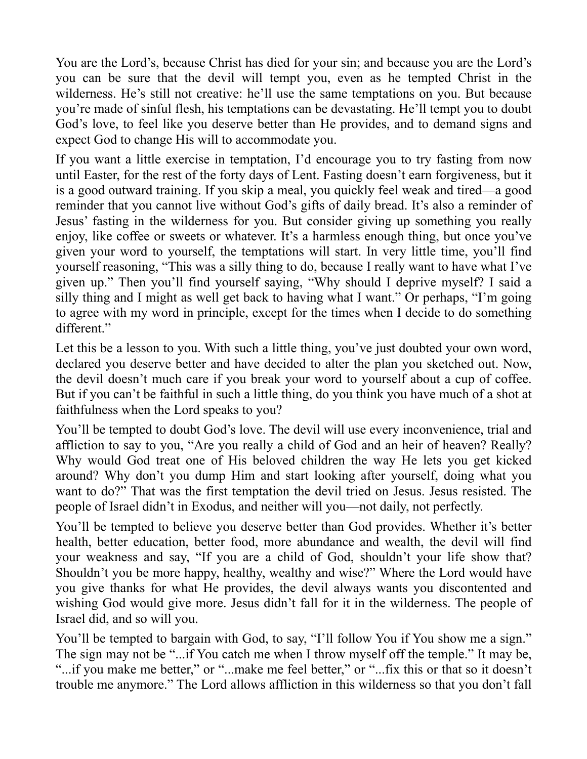You are the Lord's, because Christ has died for your sin; and because you are the Lord's you can be sure that the devil will tempt you, even as he tempted Christ in the wilderness. He's still not creative: he'll use the same temptations on you. But because you're made of sinful flesh, his temptations can be devastating. He'll tempt you to doubt God's love, to feel like you deserve better than He provides, and to demand signs and expect God to change His will to accommodate you.

If you want a little exercise in temptation, I'd encourage you to try fasting from now until Easter, for the rest of the forty days of Lent. Fasting doesn't earn forgiveness, but it is a good outward training. If you skip a meal, you quickly feel weak and tired—a good reminder that you cannot live without God's gifts of daily bread. It's also a reminder of Jesus' fasting in the wilderness for you. But consider giving up something you really enjoy, like coffee or sweets or whatever. It's a harmless enough thing, but once you've given your word to yourself, the temptations will start. In very little time, you'll find yourself reasoning, "This was a silly thing to do, because I really want to have what I've given up." Then you'll find yourself saying, "Why should I deprive myself? I said a silly thing and I might as well get back to having what I want." Or perhaps, "I'm going to agree with my word in principle, except for the times when I decide to do something different."

Let this be a lesson to you. With such a little thing, you've just doubted your own word, declared you deserve better and have decided to alter the plan you sketched out. Now, the devil doesn't much care if you break your word to yourself about a cup of coffee. But if you can't be faithful in such a little thing, do you think you have much of a shot at faithfulness when the Lord speaks to you?

You'll be tempted to doubt God's love. The devil will use every inconvenience, trial and affliction to say to you, "Are you really a child of God and an heir of heaven? Really? Why would God treat one of His beloved children the way He lets you get kicked around? Why don't you dump Him and start looking after yourself, doing what you want to do?" That was the first temptation the devil tried on Jesus. Jesus resisted. The people of Israel didn't in Exodus, and neither will you—not daily, not perfectly.

You'll be tempted to believe you deserve better than God provides. Whether it's better health, better education, better food, more abundance and wealth, the devil will find your weakness and say, "If you are a child of God, shouldn't your life show that? Shouldn't you be more happy, healthy, wealthy and wise?" Where the Lord would have you give thanks for what He provides, the devil always wants you discontented and wishing God would give more. Jesus didn't fall for it in the wilderness. The people of Israel did, and so will you.

You'll be tempted to bargain with God, to say, "I'll follow You if You show me a sign." The sign may not be "...if You catch me when I throw myself off the temple." It may be, "...if you make me better," or "...make me feel better," or "...fix this or that so it doesn't trouble me anymore." The Lord allows affliction in this wilderness so that you don't fall